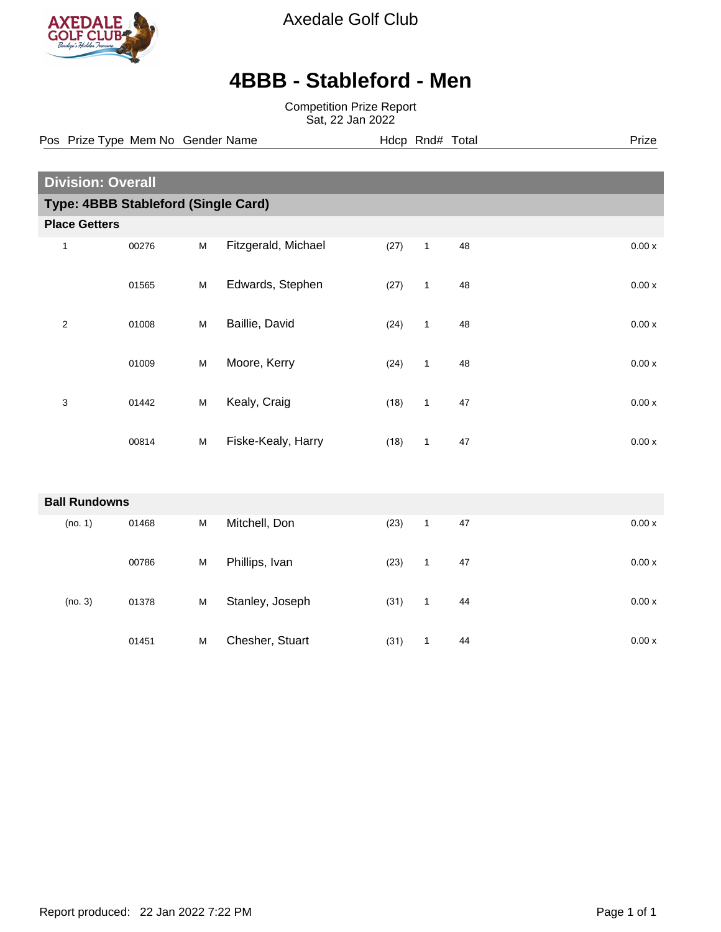

Axedale Golf Club

## **4BBB - Stableford - Men**

Competition Prize Report Sat, 22 Jan 2022

**Division: Overall Type: 4BBB Stableford (Single Card) Place Getters** 1 00276 M Fitzgerald, Michael (27) 1 48 0.00 x 01565 M Edwards, Stephen (27) 1 48 0.00 x 2 01008 M Baillie, David (24) 1 48 0.00 x 01009 M Moore, Kerry (24) 1 48 0.00 x 3 01442 M Kealy, Craig (18) 1 47 0.00 x 00814 M Fiske-Kealy, Harry (18) 1 47 0.00 x **Ball Rundowns** (no. 1) 01468 M Mitchell, Don (23) 1 47 0.00 x 00786 M Phillips, Ivan (23) 1 47 0.00 x (no. 3) 01378 M Stanley, Joseph (31) 1 44 0.00 x 01451 M Chesher, Stuart (31) 1 44 0.00 x Pos Prize Type Mem No Gender Name **Hdcp Rnd# Total** Prize Prize